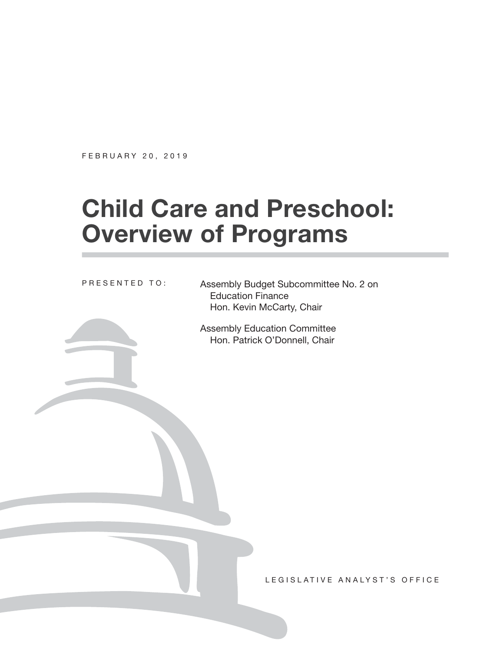FEBRUARY 20, 2019

# **Child Care and Preschool: Overview of Programs**

PRESENTED TO:

Assembly Budget Subcommittee No. 2 on Education Finance Hon. Kevin McCarty, Chair

Assembly Education Committee Hon. Patrick O'Donnell, Chair

LEGISLATIVE ANALYST'S OFFICE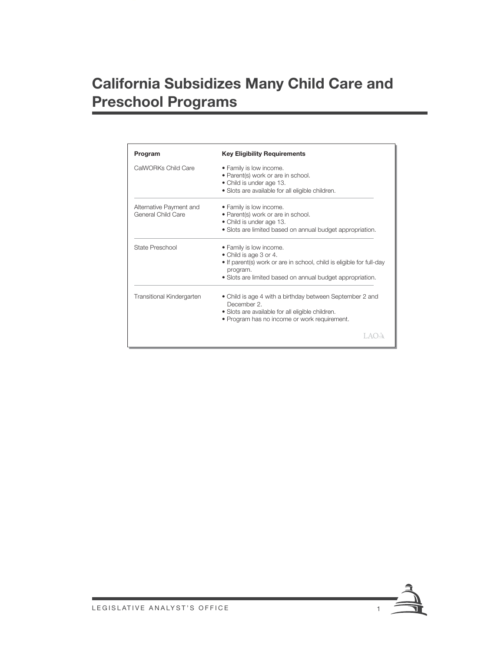# **California Subsidizes Many Child Care and Preschool Programs**

| <b>Key Eligibility Requirements</b><br>Program |                                                                                                                                                                                                    |  |  |  |
|------------------------------------------------|----------------------------------------------------------------------------------------------------------------------------------------------------------------------------------------------------|--|--|--|
| CalWORKs Child Care                            | • Family is low income.<br>· Parent(s) work or are in school.<br>• Child is under age 13.<br>· Slots are available for all eligible children.                                                      |  |  |  |
| Alternative Payment and<br>General Child Care  | • Family is low income.<br>• Parent(s) work or are in school.<br>• Child is under age 13.<br>• Slots are limited based on annual budget appropriation.                                             |  |  |  |
| State Preschool                                | • Family is low income.<br>• Child is age 3 or 4.<br>• If parent(s) work or are in school, child is eligible for full-day<br>program.<br>• Slots are limited based on annual budget appropriation. |  |  |  |
| Transitional Kindergarten                      | • Child is age 4 with a birthday between September 2 and<br>December 2.<br>• Slots are available for all eligible children.<br>• Program has no income or work requirement.                        |  |  |  |
|                                                |                                                                                                                                                                                                    |  |  |  |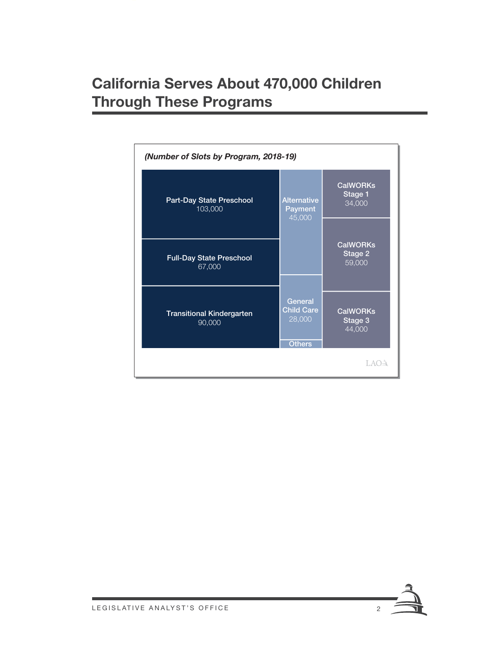# **California Serves About 470,000 Children Through These Programs**



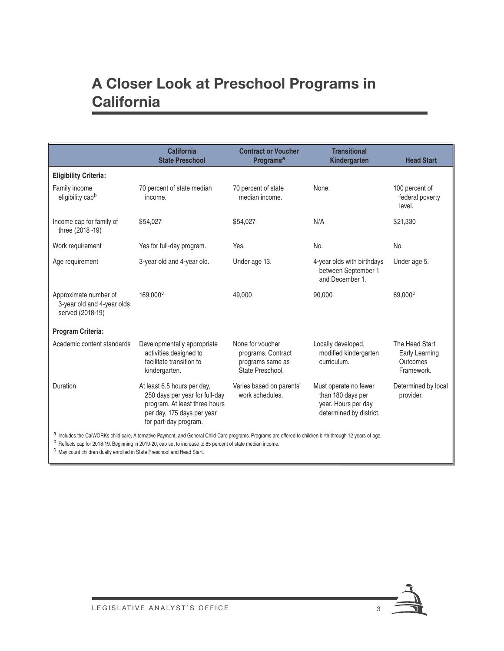## **A Closer Look at Preschool Programs in California**

|                                                                                                                                                                                                                                                                                     | <b>California</b><br><b>State Preschool</b>                                                                                                           | <b>Contract or Voucher</b><br>Programs <sup>a</sup>                            | <b>Transitional</b><br>Kindergarten                                                          | <b>Head Start</b>                                          |  |  |
|-------------------------------------------------------------------------------------------------------------------------------------------------------------------------------------------------------------------------------------------------------------------------------------|-------------------------------------------------------------------------------------------------------------------------------------------------------|--------------------------------------------------------------------------------|----------------------------------------------------------------------------------------------|------------------------------------------------------------|--|--|
| <b>Eligibility Criteria:</b>                                                                                                                                                                                                                                                        |                                                                                                                                                       |                                                                                |                                                                                              |                                                            |  |  |
| Family income<br>eligibility capb                                                                                                                                                                                                                                                   | 70 percent of state median<br>income.                                                                                                                 | 70 percent of state<br>median income.                                          | None.                                                                                        | 100 percent of<br>federal poverty<br>level.                |  |  |
| Income cap for family of<br>three (2018 -19)                                                                                                                                                                                                                                        | \$54,027                                                                                                                                              | \$54,027                                                                       | N/A                                                                                          | \$21,330                                                   |  |  |
| Work requirement                                                                                                                                                                                                                                                                    | Yes for full-day program.                                                                                                                             | Yes.                                                                           | No.                                                                                          | No.                                                        |  |  |
| Age requirement                                                                                                                                                                                                                                                                     | 3-year old and 4-year old.                                                                                                                            | Under age 13.                                                                  | 4-year olds with birthdays<br>between September 1<br>and December 1.                         | Under age 5.                                               |  |  |
| Approximate number of<br>3-year old and 4-year olds<br>served (2018-19)                                                                                                                                                                                                             | 169,000 <sup>c</sup>                                                                                                                                  | 49,000                                                                         | 90,000                                                                                       | 69,000 <sup>c</sup>                                        |  |  |
| Program Criteria:                                                                                                                                                                                                                                                                   |                                                                                                                                                       |                                                                                |                                                                                              |                                                            |  |  |
| Academic content standards                                                                                                                                                                                                                                                          | Developmentally appropriate<br>activities designed to<br>facilitate transition to<br>kindergarten.                                                    | None for voucher<br>programs. Contract<br>programs same as<br>State Preschool. | Locally developed,<br>modified kindergarten<br>curriculum.                                   | The Head Start<br>Early Learning<br>Outcomes<br>Framework. |  |  |
| Duration                                                                                                                                                                                                                                                                            | At least 6.5 hours per day,<br>250 days per year for full-day<br>program. At least three hours<br>per day, 175 days per year<br>for part-day program. | Varies based on parents'<br>work schedules.                                    | Must operate no fewer<br>than 180 days per<br>year. Hours per day<br>determined by district. | Determined by local<br>provider.                           |  |  |
| a Includes the CalWORKs child care, Alternative Payment, and General Child Care programs. Programs are offered to children birth through 12 years of age.<br><sup>b</sup> Reflects cap for 2018-19. Beginning in 2019-20, cap set to increase to 85 percent of state median income. |                                                                                                                                                       |                                                                                |                                                                                              |                                                            |  |  |

c May count children dually enrolled in State Preschool and Head Start.